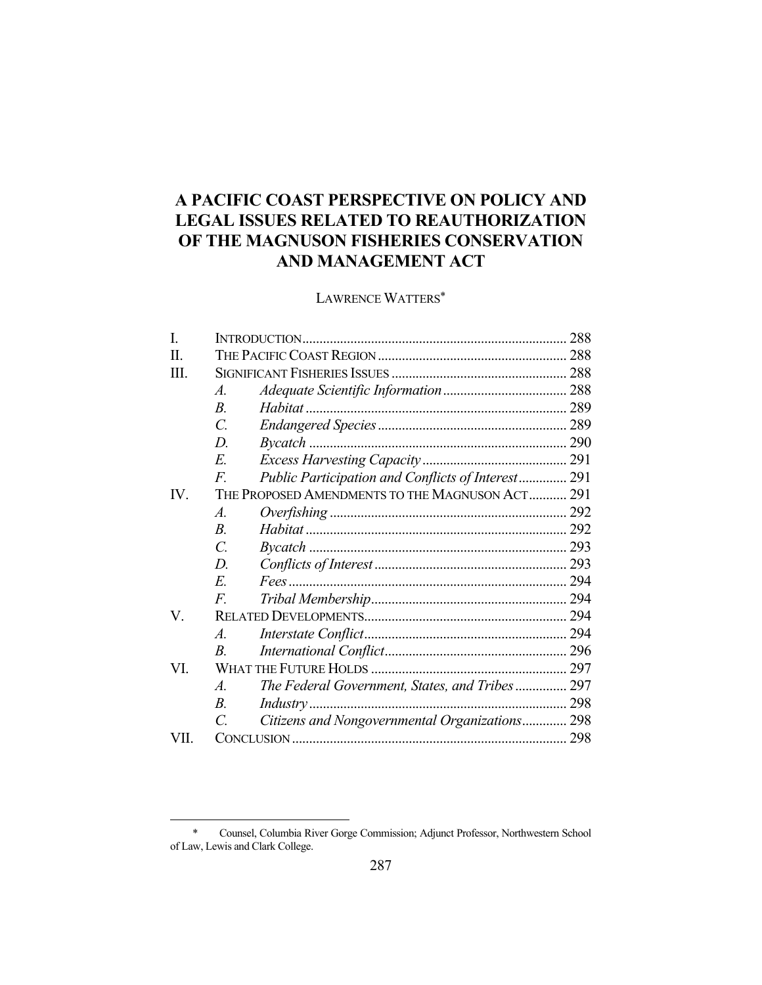# **A PACIFIC COAST PERSPECTIVE ON POLICY AND LEGAL ISSUES RELATED TO REAUTHORIZATION OF THE MAGNUSON FISHERIES CONSERVATION AND MANAGEMENT ACT**

# LAWRENCE WATTERS\*

| I.   |                              |                                                    |  |
|------|------------------------------|----------------------------------------------------|--|
| П.   |                              |                                                    |  |
| III. |                              |                                                    |  |
|      | $\mathcal{A}_{\cdot}$        |                                                    |  |
|      | $\overline{B}$               |                                                    |  |
|      | $\overline{C}$ .             |                                                    |  |
|      | D.                           |                                                    |  |
|      | E.                           |                                                    |  |
|      | $\overline{F}$               | Public Participation and Conflicts of Interest 291 |  |
| IV.  |                              | THE PROPOSED AMENDMENTS TO THE MAGNUSON ACT 291    |  |
|      | $\boldsymbol{\mathcal{A}}$ . |                                                    |  |
|      | $B$ .                        |                                                    |  |
|      | $\overline{C}$ .             |                                                    |  |
|      | D.                           |                                                    |  |
|      | E.                           |                                                    |  |
|      | $F_{\cdot}$                  |                                                    |  |
| V.   |                              |                                                    |  |
|      | $\mathcal{A}_{\cdot}$        |                                                    |  |
|      | $\boldsymbol{B}$             |                                                    |  |
| VI.  |                              |                                                    |  |
|      | $\mathcal{A}_{\cdot}$        | The Federal Government, States, and Tribes 297     |  |
|      | $B_{\cdot}$                  |                                                    |  |
|      | $\mathcal{C}_{\mathcal{C}}$  | Citizens and Nongovernmental Organizations 298     |  |
| VII. |                              |                                                    |  |
|      |                              |                                                    |  |

<u>.</u>

 <sup>\*</sup> Counsel, Columbia River Gorge Commission; Adjunct Professor, Northwestern School of Law, Lewis and Clark College.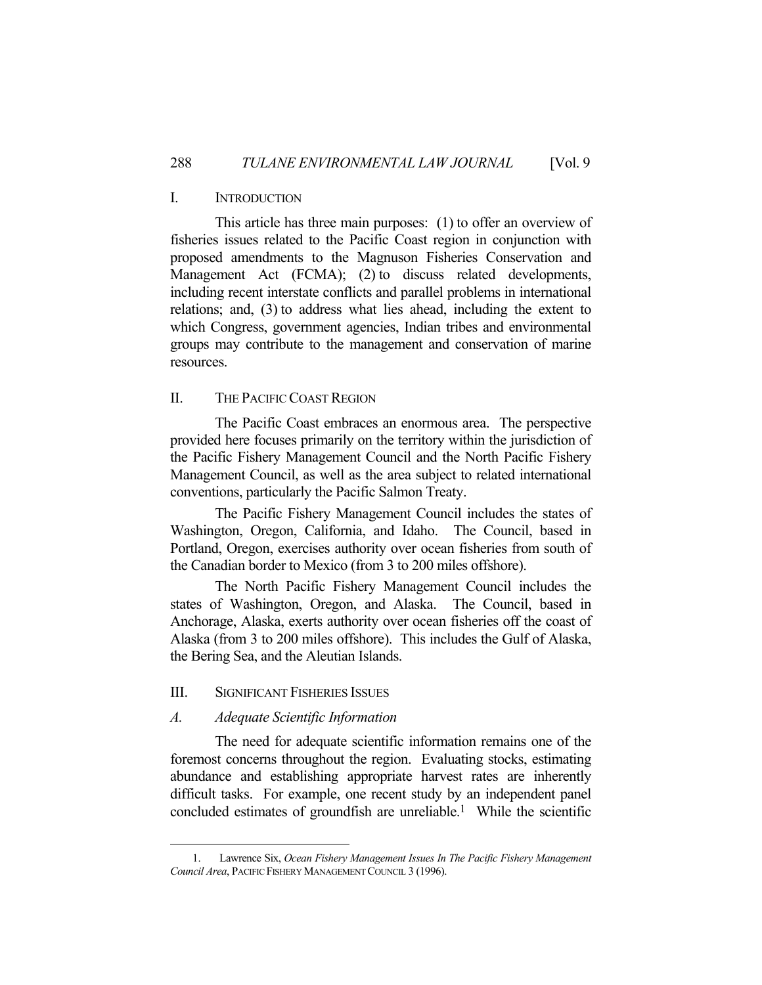# I. INTRODUCTION

 This article has three main purposes: (1) to offer an overview of fisheries issues related to the Pacific Coast region in conjunction with proposed amendments to the Magnuson Fisheries Conservation and Management Act (FCMA); (2) to discuss related developments, including recent interstate conflicts and parallel problems in international relations; and, (3) to address what lies ahead, including the extent to which Congress, government agencies, Indian tribes and environmental groups may contribute to the management and conservation of marine resources.

# II. THE PACIFIC COAST REGION

 The Pacific Coast embraces an enormous area. The perspective provided here focuses primarily on the territory within the jurisdiction of the Pacific Fishery Management Council and the North Pacific Fishery Management Council, as well as the area subject to related international conventions, particularly the Pacific Salmon Treaty.

 The Pacific Fishery Management Council includes the states of Washington, Oregon, California, and Idaho. The Council, based in Portland, Oregon, exercises authority over ocean fisheries from south of the Canadian border to Mexico (from 3 to 200 miles offshore).

 The North Pacific Fishery Management Council includes the states of Washington, Oregon, and Alaska. The Council, based in Anchorage, Alaska, exerts authority over ocean fisheries off the coast of Alaska (from 3 to 200 miles offshore). This includes the Gulf of Alaska, the Bering Sea, and the Aleutian Islands.

## III. SIGNIFICANT FISHERIES ISSUES

# *A. Adequate Scientific Information*

1

 The need for adequate scientific information remains one of the foremost concerns throughout the region. Evaluating stocks, estimating abundance and establishing appropriate harvest rates are inherently difficult tasks. For example, one recent study by an independent panel concluded estimates of groundfish are unreliable.<sup>1</sup> While the scientific

 <sup>1.</sup> Lawrence Six, *Ocean Fishery Management Issues In The Pacific Fishery Management Council Area*, PACIFIC FISHERY MANAGEMENT COUNCIL 3 (1996).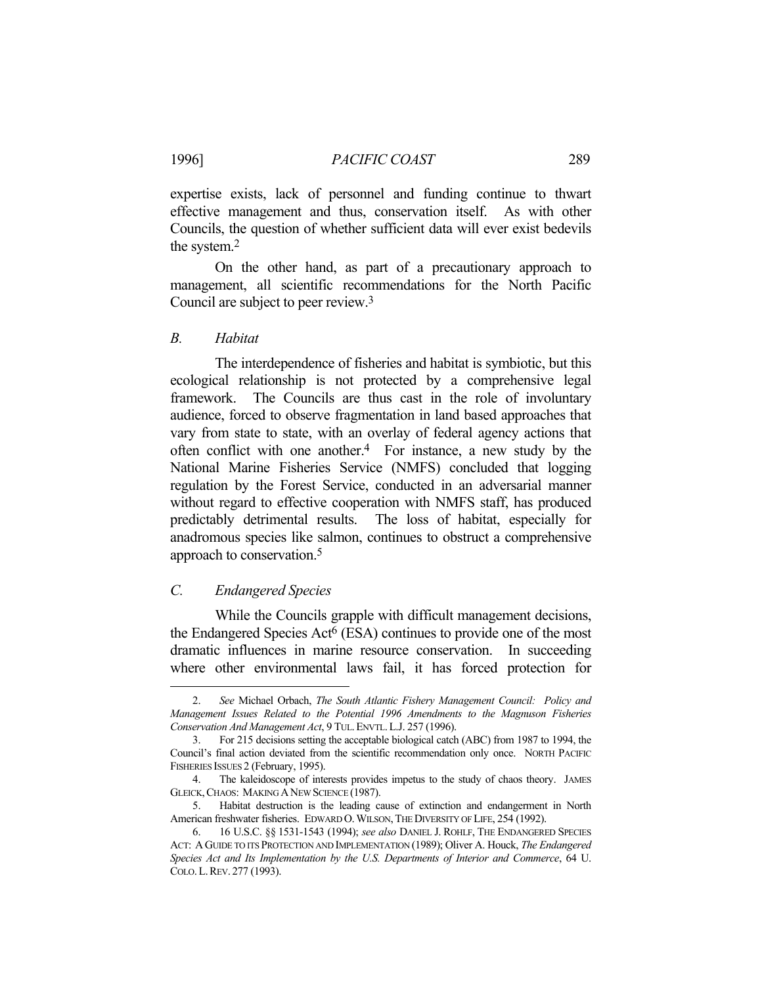expertise exists, lack of personnel and funding continue to thwart effective management and thus, conservation itself. As with other Councils, the question of whether sufficient data will ever exist bedevils the system.2

 On the other hand, as part of a precautionary approach to management, all scientific recommendations for the North Pacific Council are subject to peer review.3

#### *B. Habitat*

 The interdependence of fisheries and habitat is symbiotic, but this ecological relationship is not protected by a comprehensive legal framework. The Councils are thus cast in the role of involuntary audience, forced to observe fragmentation in land based approaches that vary from state to state, with an overlay of federal agency actions that often conflict with one another.4 For instance, a new study by the National Marine Fisheries Service (NMFS) concluded that logging regulation by the Forest Service, conducted in an adversarial manner without regard to effective cooperation with NMFS staff, has produced predictably detrimental results. The loss of habitat, especially for anadromous species like salmon, continues to obstruct a comprehensive approach to conservation.5

# *C. Endangered Species*

1

 While the Councils grapple with difficult management decisions, the Endangered Species Act<sup>6</sup> (ESA) continues to provide one of the most dramatic influences in marine resource conservation. In succeeding where other environmental laws fail, it has forced protection for

 <sup>2.</sup> *See* Michael Orbach, *The South Atlantic Fishery Management Council: Policy and Management Issues Related to the Potential 1996 Amendments to the Magnuson Fisheries Conservation And Management Act*, 9 TUL.ENVTL.L.J. 257 (1996).

 <sup>3.</sup> For 215 decisions setting the acceptable biological catch (ABC) from 1987 to 1994, the Council's final action deviated from the scientific recommendation only once. NORTH PACIFIC FISHERIES ISSUES 2 (February, 1995).

 <sup>4.</sup> The kaleidoscope of interests provides impetus to the study of chaos theory. JAMES GLEICK,CHAOS: MAKING ANEW SCIENCE (1987).

 <sup>5.</sup> Habitat destruction is the leading cause of extinction and endangerment in North American freshwater fisheries. EDWARD O.WILSON,THE DIVERSITY OF LIFE, 254 (1992).

 <sup>6. 16</sup> U.S.C. §§ 1531-1543 (1994); *see also* DANIEL J. ROHLF, THE ENDANGERED SPECIES ACT: A GUIDE TO ITS PROTECTION AND IMPLEMENTATION (1989); Oliver A. Houck, *The Endangered Species Act and Its Implementation by the U.S. Departments of Interior and Commerce*, 64 U. COLO.L.REV. 277 (1993).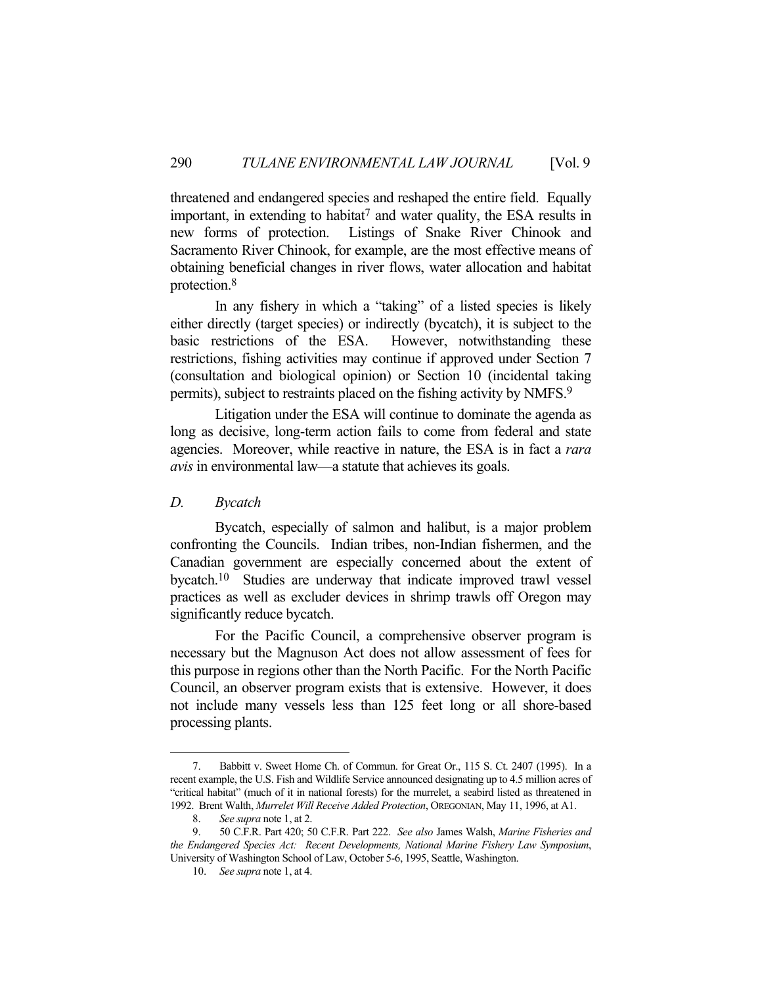threatened and endangered species and reshaped the entire field. Equally important, in extending to habitat<sup>7</sup> and water quality, the ESA results in new forms of protection. Listings of Snake River Chinook and Sacramento River Chinook, for example, are the most effective means of obtaining beneficial changes in river flows, water allocation and habitat protection.8

 In any fishery in which a "taking" of a listed species is likely either directly (target species) or indirectly (bycatch), it is subject to the basic restrictions of the ESA. However, notwithstanding these restrictions, fishing activities may continue if approved under Section 7 (consultation and biological opinion) or Section 10 (incidental taking permits), subject to restraints placed on the fishing activity by NMFS.9

 Litigation under the ESA will continue to dominate the agenda as long as decisive, long-term action fails to come from federal and state agencies. Moreover, while reactive in nature, the ESA is in fact a *rara avis* in environmental law—a statute that achieves its goals.

#### *D. Bycatch*

<u>.</u>

 Bycatch, especially of salmon and halibut, is a major problem confronting the Councils. Indian tribes, non-Indian fishermen, and the Canadian government are especially concerned about the extent of bycatch.10 Studies are underway that indicate improved trawl vessel practices as well as excluder devices in shrimp trawls off Oregon may significantly reduce bycatch.

 For the Pacific Council, a comprehensive observer program is necessary but the Magnuson Act does not allow assessment of fees for this purpose in regions other than the North Pacific. For the North Pacific Council, an observer program exists that is extensive. However, it does not include many vessels less than 125 feet long or all shore-based processing plants.

 <sup>7.</sup> Babbitt v. Sweet Home Ch. of Commun. for Great Or., 115 S. Ct. 2407 (1995). In a recent example, the U.S. Fish and Wildlife Service announced designating up to 4.5 million acres of "critical habitat" (much of it in national forests) for the murrelet, a seabird listed as threatened in 1992. Brent Walth, *Murrelet Will Receive Added Protection*, OREGONIAN, May 11, 1996, at A1.

 <sup>8.</sup> *See supra* note 1, at 2.

 <sup>9. 50</sup> C.F.R. Part 420; 50 C.F.R. Part 222. *See also* James Walsh, *Marine Fisheries and the Endangered Species Act: Recent Developments, National Marine Fishery Law Symposium*, University of Washington School of Law, October 5-6, 1995, Seattle, Washington.

 <sup>10.</sup> *See supra* note 1, at 4.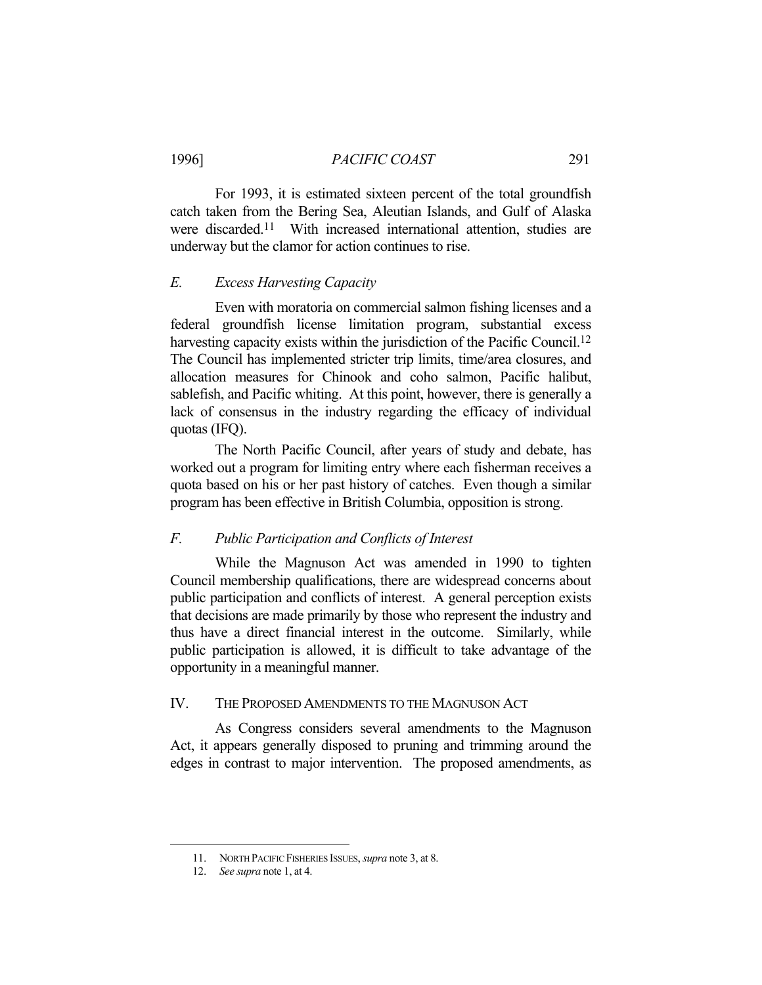# 1996] *PACIFIC COAST* 291

 For 1993, it is estimated sixteen percent of the total groundfish catch taken from the Bering Sea, Aleutian Islands, and Gulf of Alaska were discarded.<sup>11</sup> With increased international attention, studies are underway but the clamor for action continues to rise.

## *E. Excess Harvesting Capacity*

 Even with moratoria on commercial salmon fishing licenses and a federal groundfish license limitation program, substantial excess harvesting capacity exists within the jurisdiction of the Pacific Council.<sup>12</sup> The Council has implemented stricter trip limits, time/area closures, and allocation measures for Chinook and coho salmon, Pacific halibut, sablefish, and Pacific whiting. At this point, however, there is generally a lack of consensus in the industry regarding the efficacy of individual quotas (IFQ).

 The North Pacific Council, after years of study and debate, has worked out a program for limiting entry where each fisherman receives a quota based on his or her past history of catches. Even though a similar program has been effective in British Columbia, opposition is strong.

#### *F. Public Participation and Conflicts of Interest*

 While the Magnuson Act was amended in 1990 to tighten Council membership qualifications, there are widespread concerns about public participation and conflicts of interest. A general perception exists that decisions are made primarily by those who represent the industry and thus have a direct financial interest in the outcome. Similarly, while public participation is allowed, it is difficult to take advantage of the opportunity in a meaningful manner.

#### IV. THE PROPOSED AMENDMENTS TO THE MAGNUSON ACT

 As Congress considers several amendments to the Magnuson Act, it appears generally disposed to pruning and trimming around the edges in contrast to major intervention. The proposed amendments, as

1

 <sup>11.</sup> NORTH PACIFIC FISHERIES ISSUES, *supra* note 3, at 8.

 <sup>12.</sup> *See supra* note 1, at 4.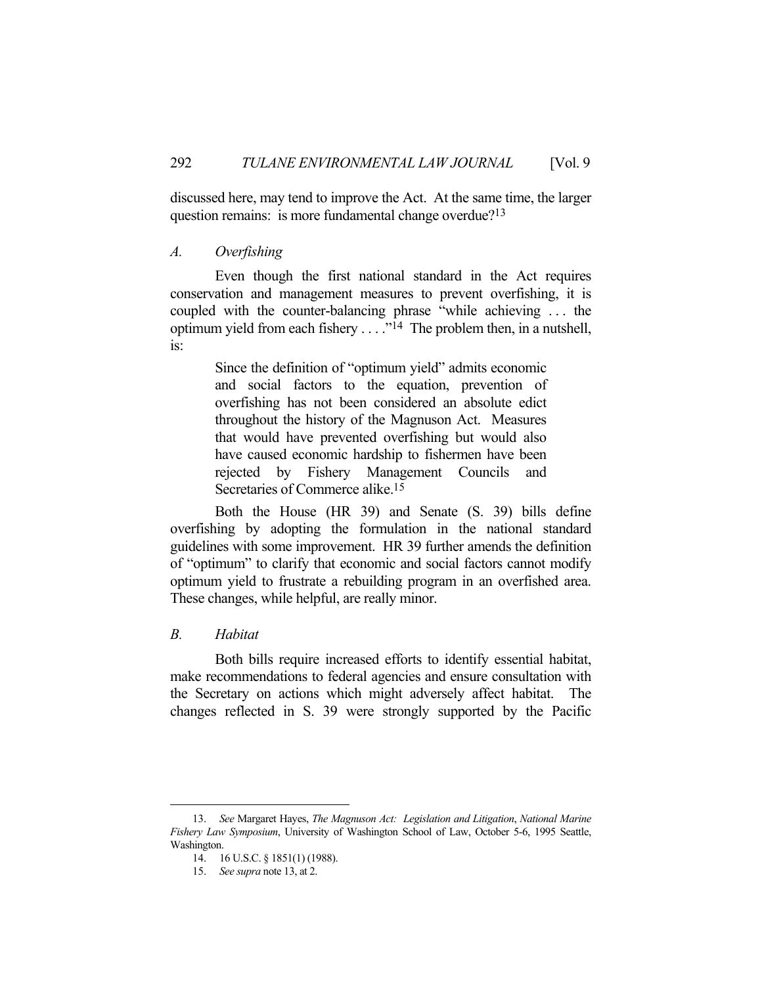discussed here, may tend to improve the Act. At the same time, the larger question remains: is more fundamental change overdue?13

#### *A. Overfishing*

 Even though the first national standard in the Act requires conservation and management measures to prevent overfishing, it is coupled with the counter-balancing phrase "while achieving . . . the optimum yield from each fishery  $\dots$  . . .<sup>14</sup> The problem then, in a nutshell, is:

> Since the definition of "optimum yield" admits economic and social factors to the equation, prevention of overfishing has not been considered an absolute edict throughout the history of the Magnuson Act. Measures that would have prevented overfishing but would also have caused economic hardship to fishermen have been rejected by Fishery Management Councils and Secretaries of Commerce alike.15

 Both the House (HR 39) and Senate (S. 39) bills define overfishing by adopting the formulation in the national standard guidelines with some improvement. HR 39 further amends the definition of "optimum" to clarify that economic and social factors cannot modify optimum yield to frustrate a rebuilding program in an overfished area. These changes, while helpful, are really minor.

# *B. Habitat*

1

 Both bills require increased efforts to identify essential habitat, make recommendations to federal agencies and ensure consultation with the Secretary on actions which might adversely affect habitat. The changes reflected in S. 39 were strongly supported by the Pacific

 <sup>13.</sup> *See* Margaret Hayes, *The Magnuson Act: Legislation and Litigation*, *National Marine Fishery Law Symposium*, University of Washington School of Law, October 5-6, 1995 Seattle, Washington.

 <sup>14. 16</sup> U.S.C. § 1851(1) (1988).

 <sup>15.</sup> *See supra* note 13, at 2.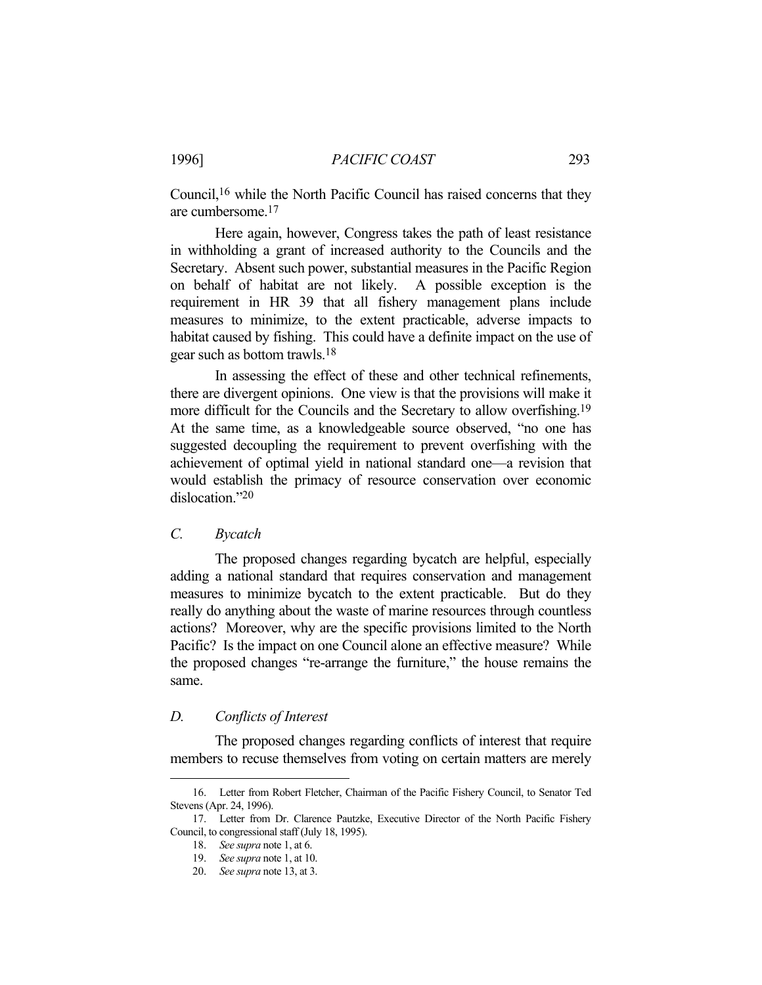Council,16 while the North Pacific Council has raised concerns that they are cumbersome.17

 Here again, however, Congress takes the path of least resistance in withholding a grant of increased authority to the Councils and the Secretary. Absent such power, substantial measures in the Pacific Region on behalf of habitat are not likely. A possible exception is the requirement in HR 39 that all fishery management plans include measures to minimize, to the extent practicable, adverse impacts to habitat caused by fishing. This could have a definite impact on the use of gear such as bottom trawls.18

 In assessing the effect of these and other technical refinements, there are divergent opinions. One view is that the provisions will make it more difficult for the Councils and the Secretary to allow overfishing.<sup>19</sup> At the same time, as a knowledgeable source observed, "no one has suggested decoupling the requirement to prevent overfishing with the achievement of optimal yield in national standard one—a revision that would establish the primacy of resource conservation over economic dislocation."20

#### *C. Bycatch*

 The proposed changes regarding bycatch are helpful, especially adding a national standard that requires conservation and management measures to minimize bycatch to the extent practicable. But do they really do anything about the waste of marine resources through countless actions? Moreover, why are the specific provisions limited to the North Pacific? Is the impact on one Council alone an effective measure? While the proposed changes "re-arrange the furniture," the house remains the same.

#### *D. Conflicts of Interest*

1

 The proposed changes regarding conflicts of interest that require members to recuse themselves from voting on certain matters are merely

 <sup>16.</sup> Letter from Robert Fletcher, Chairman of the Pacific Fishery Council, to Senator Ted Stevens (Apr. 24, 1996).

 <sup>17.</sup> Letter from Dr. Clarence Pautzke, Executive Director of the North Pacific Fishery Council, to congressional staff (July 18, 1995).

 <sup>18.</sup> *See supra* note 1, at 6.

 <sup>19.</sup> *See supra* note 1, at 10.

 <sup>20.</sup> *See supra* note 13, at 3.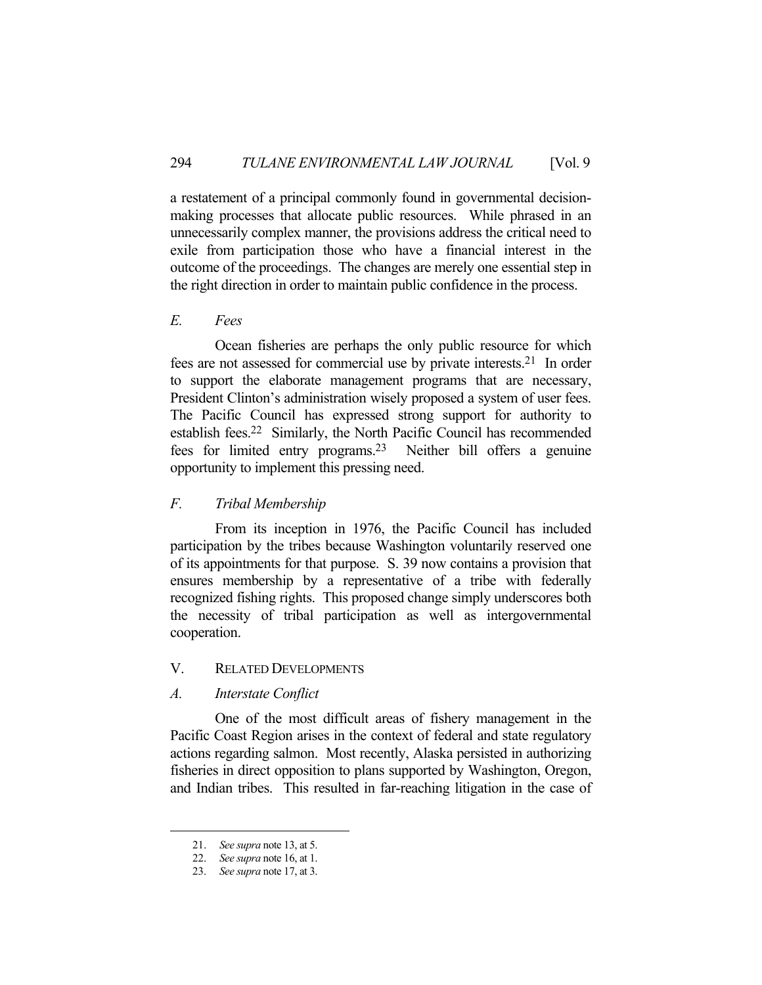a restatement of a principal commonly found in governmental decisionmaking processes that allocate public resources. While phrased in an unnecessarily complex manner, the provisions address the critical need to exile from participation those who have a financial interest in the outcome of the proceedings. The changes are merely one essential step in the right direction in order to maintain public confidence in the process.

# *E. Fees*

 Ocean fisheries are perhaps the only public resource for which fees are not assessed for commercial use by private interests.21 In order to support the elaborate management programs that are necessary, President Clinton's administration wisely proposed a system of user fees. The Pacific Council has expressed strong support for authority to establish fees.22 Similarly, the North Pacific Council has recommended fees for limited entry programs.23 Neither bill offers a genuine opportunity to implement this pressing need.

# *F. Tribal Membership*

 From its inception in 1976, the Pacific Council has included participation by the tribes because Washington voluntarily reserved one of its appointments for that purpose. S. 39 now contains a provision that ensures membership by a representative of a tribe with federally recognized fishing rights. This proposed change simply underscores both the necessity of tribal participation as well as intergovernmental cooperation.

# V. RELATED DEVELOPMENTS

# *A. Interstate Conflict*

 One of the most difficult areas of fishery management in the Pacific Coast Region arises in the context of federal and state regulatory actions regarding salmon. Most recently, Alaska persisted in authorizing fisheries in direct opposition to plans supported by Washington, Oregon, and Indian tribes. This resulted in far-reaching litigation in the case of

<u>.</u>

 <sup>21.</sup> *See supra* note 13, at 5.

 <sup>22.</sup> *See supra* note 16, at 1.

 <sup>23.</sup> *See supra* note 17, at 3.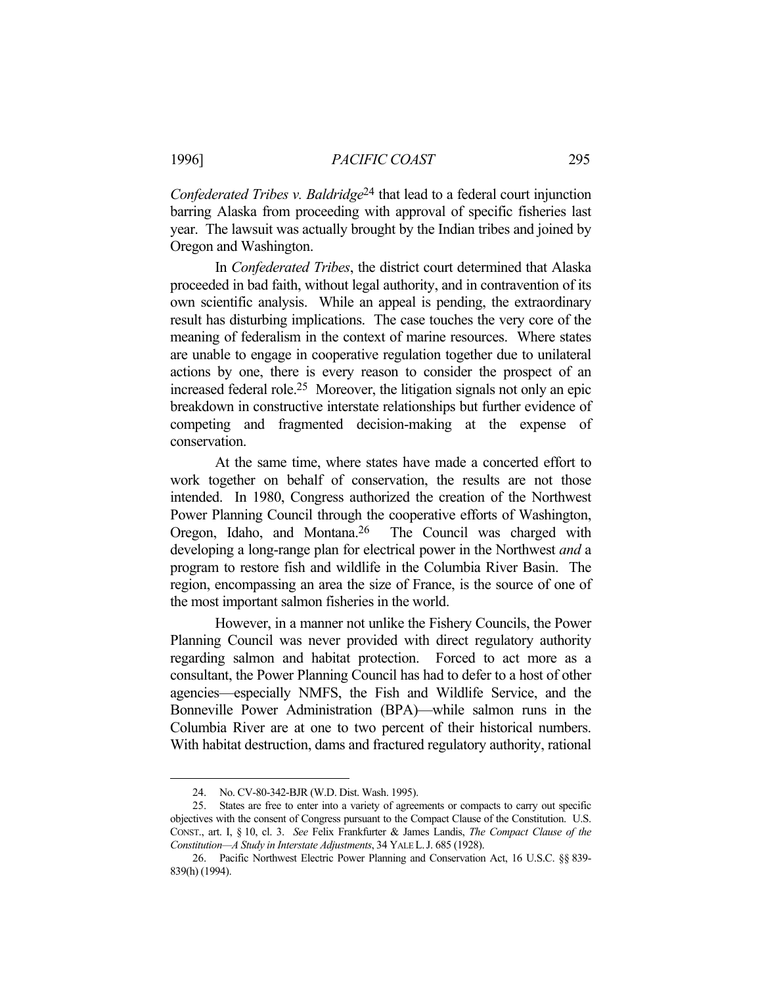*Confederated Tribes v. Baldridge*24 that lead to a federal court injunction barring Alaska from proceeding with approval of specific fisheries last year. The lawsuit was actually brought by the Indian tribes and joined by Oregon and Washington.

 In *Confederated Tribes*, the district court determined that Alaska proceeded in bad faith, without legal authority, and in contravention of its own scientific analysis. While an appeal is pending, the extraordinary result has disturbing implications. The case touches the very core of the meaning of federalism in the context of marine resources. Where states are unable to engage in cooperative regulation together due to unilateral actions by one, there is every reason to consider the prospect of an increased federal role.25 Moreover, the litigation signals not only an epic breakdown in constructive interstate relationships but further evidence of competing and fragmented decision-making at the expense of conservation.

 At the same time, where states have made a concerted effort to work together on behalf of conservation, the results are not those intended. In 1980, Congress authorized the creation of the Northwest Power Planning Council through the cooperative efforts of Washington, Oregon, Idaho, and Montana.26 The Council was charged with developing a long-range plan for electrical power in the Northwest *and* a program to restore fish and wildlife in the Columbia River Basin. The region, encompassing an area the size of France, is the source of one of the most important salmon fisheries in the world.

 However, in a manner not unlike the Fishery Councils, the Power Planning Council was never provided with direct regulatory authority regarding salmon and habitat protection. Forced to act more as a consultant, the Power Planning Council has had to defer to a host of other agencies—especially NMFS, the Fish and Wildlife Service, and the Bonneville Power Administration (BPA)—while salmon runs in the Columbia River are at one to two percent of their historical numbers. With habitat destruction, dams and fractured regulatory authority, rational

1

 <sup>24.</sup> No. CV-80-342-BJR (W.D. Dist. Wash. 1995).

 <sup>25.</sup> States are free to enter into a variety of agreements or compacts to carry out specific objectives with the consent of Congress pursuant to the Compact Clause of the Constitution. U.S. CONST., art. I, § 10, cl. 3. *See* Felix Frankfurter & James Landis, *The Compact Clause of the Constitution—A Study in Interstate Adjustments*, 34 YALE L.J. 685 (1928).

 <sup>26.</sup> Pacific Northwest Electric Power Planning and Conservation Act, 16 U.S.C. §§ 839- 839(h) (1994).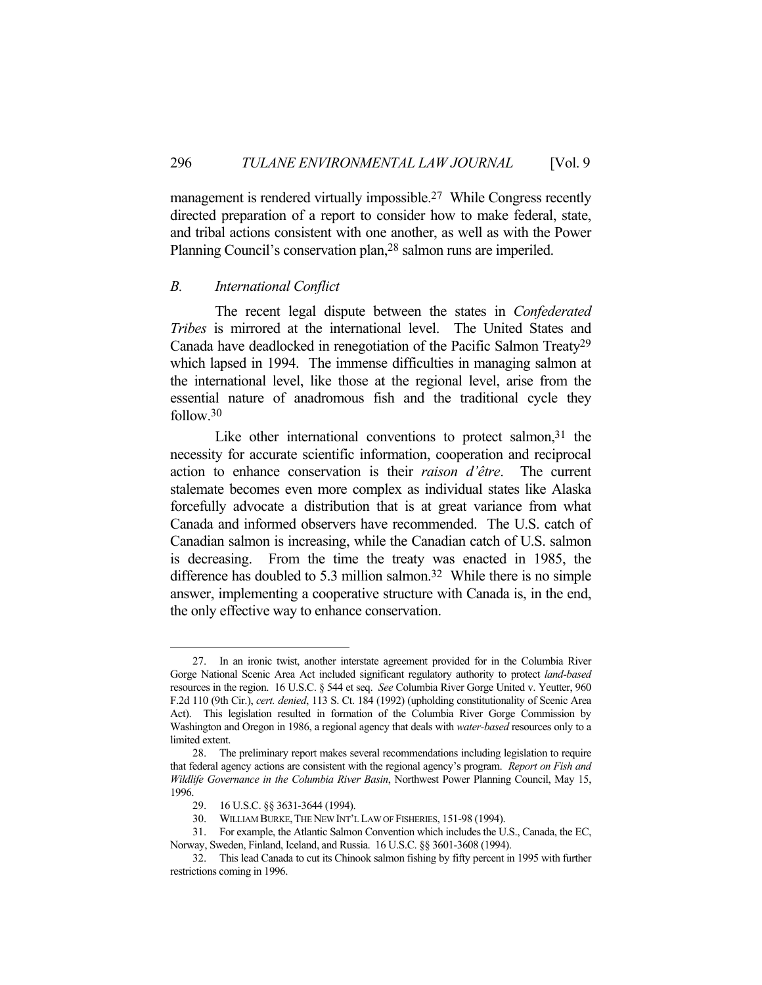management is rendered virtually impossible.<sup>27</sup> While Congress recently directed preparation of a report to consider how to make federal, state, and tribal actions consistent with one another, as well as with the Power Planning Council's conservation plan,28 salmon runs are imperiled.

#### *B. International Conflict*

 The recent legal dispute between the states in *Confederated Tribes* is mirrored at the international level. The United States and Canada have deadlocked in renegotiation of the Pacific Salmon Treaty29 which lapsed in 1994. The immense difficulties in managing salmon at the international level, like those at the regional level, arise from the essential nature of anadromous fish and the traditional cycle they follow.30

Like other international conventions to protect salmon, $31$  the necessity for accurate scientific information, cooperation and reciprocal action to enhance conservation is their *raison d'être*. The current stalemate becomes even more complex as individual states like Alaska forcefully advocate a distribution that is at great variance from what Canada and informed observers have recommended. The U.S. catch of Canadian salmon is increasing, while the Canadian catch of U.S. salmon is decreasing. From the time the treaty was enacted in 1985, the difference has doubled to 5.3 million salmon.<sup>32</sup> While there is no simple answer, implementing a cooperative structure with Canada is, in the end, the only effective way to enhance conservation.

1

 <sup>27.</sup> In an ironic twist, another interstate agreement provided for in the Columbia River Gorge National Scenic Area Act included significant regulatory authority to protect *land-based*  resources in the region. 16 U.S.C. § 544 et seq. *See* Columbia River Gorge United v. Yeutter, 960 F.2d 110 (9th Cir.), *cert. denied*, 113 S. Ct. 184 (1992) (upholding constitutionality of Scenic Area Act). This legislation resulted in formation of the Columbia River Gorge Commission by Washington and Oregon in 1986, a regional agency that deals with *water-based* resources only to a limited extent.

 <sup>28.</sup> The preliminary report makes several recommendations including legislation to require that federal agency actions are consistent with the regional agency's program. *Report on Fish and Wildlife Governance in the Columbia River Basin*, Northwest Power Planning Council, May 15, 1996.

 <sup>29. 16</sup> U.S.C. §§ 3631-3644 (1994).

 <sup>30.</sup> WILLIAM BURKE,THE NEW INT'L LAW OF FISHERIES, 151-98 (1994).

 <sup>31.</sup> For example, the Atlantic Salmon Convention which includes the U.S., Canada, the EC, Norway, Sweden, Finland, Iceland, and Russia. 16 U.S.C. §§ 3601-3608 (1994).

 <sup>32.</sup> This lead Canada to cut its Chinook salmon fishing by fifty percent in 1995 with further restrictions coming in 1996.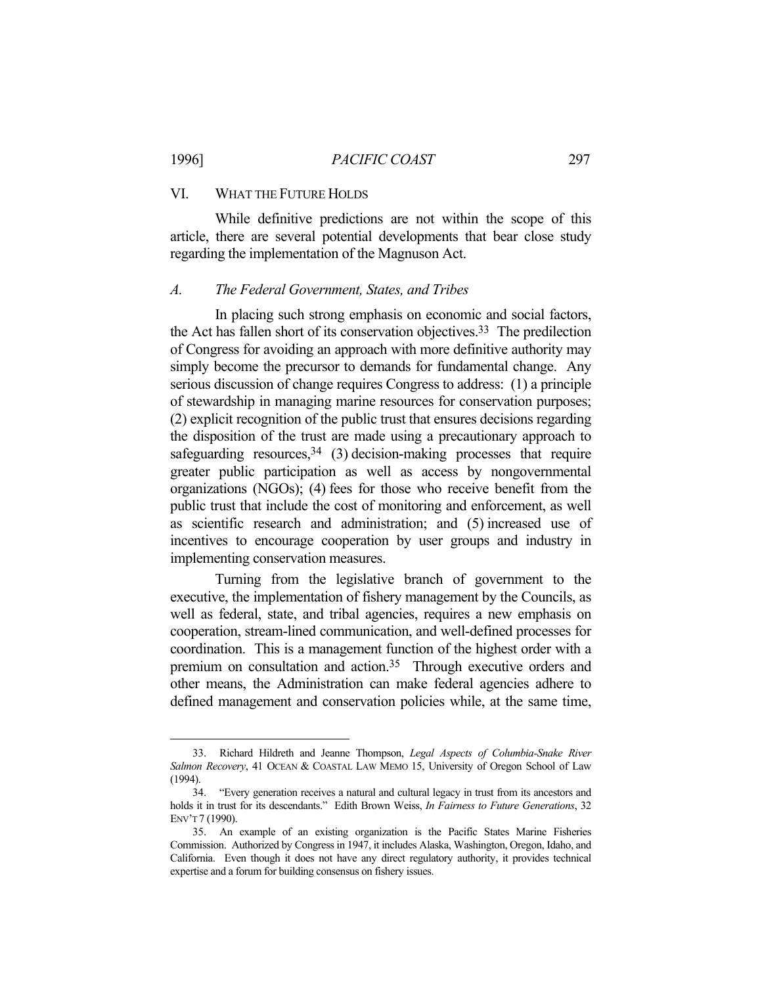#### 1996] *PACIFIC COAST* 297

# VI. WHAT THE FUTURE HOLDS

<u>.</u>

 While definitive predictions are not within the scope of this article, there are several potential developments that bear close study regarding the implementation of the Magnuson Act.

#### *A. The Federal Government, States, and Tribes*

 In placing such strong emphasis on economic and social factors, the Act has fallen short of its conservation objectives.33 The predilection of Congress for avoiding an approach with more definitive authority may simply become the precursor to demands for fundamental change. Any serious discussion of change requires Congress to address: (1) a principle of stewardship in managing marine resources for conservation purposes; (2) explicit recognition of the public trust that ensures decisions regarding the disposition of the trust are made using a precautionary approach to safeguarding resources,  $34$  (3) decision-making processes that require greater public participation as well as access by nongovernmental organizations (NGOs); (4) fees for those who receive benefit from the public trust that include the cost of monitoring and enforcement, as well as scientific research and administration; and (5) increased use of incentives to encourage cooperation by user groups and industry in implementing conservation measures.

 Turning from the legislative branch of government to the executive, the implementation of fishery management by the Councils, as well as federal, state, and tribal agencies, requires a new emphasis on cooperation, stream-lined communication, and well-defined processes for coordination. This is a management function of the highest order with a premium on consultation and action.<sup>35</sup> Through executive orders and other means, the Administration can make federal agencies adhere to defined management and conservation policies while, at the same time,

 <sup>33.</sup> Richard Hildreth and Jeanne Thompson, *Legal Aspects of Columbia-Snake River Salmon Recovery*, 41 OCEAN & COASTAL LAW MEMO 15, University of Oregon School of Law (1994).

 <sup>34. &</sup>quot;Every generation receives a natural and cultural legacy in trust from its ancestors and holds it in trust for its descendants." Edith Brown Weiss, *In Fairness to Future Generations*, 32 ENV'T 7 (1990).

 <sup>35.</sup> An example of an existing organization is the Pacific States Marine Fisheries Commission. Authorized by Congress in 1947, it includes Alaska, Washington, Oregon, Idaho, and California. Even though it does not have any direct regulatory authority, it provides technical expertise and a forum for building consensus on fishery issues.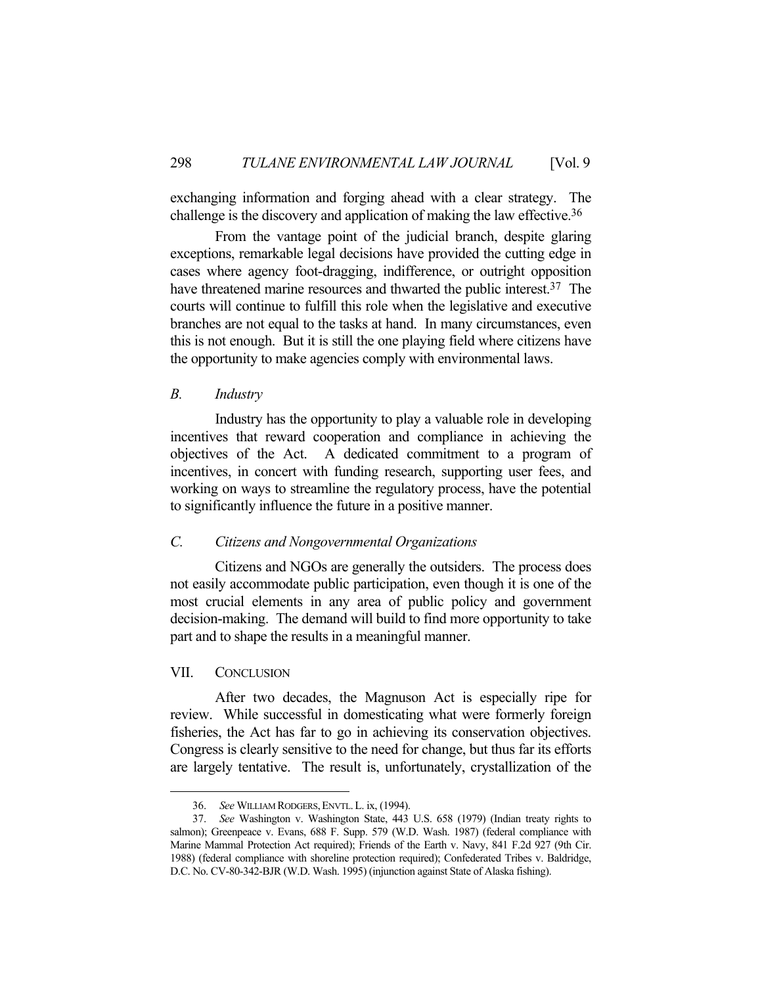exchanging information and forging ahead with a clear strategy. The challenge is the discovery and application of making the law effective.36

 From the vantage point of the judicial branch, despite glaring exceptions, remarkable legal decisions have provided the cutting edge in cases where agency foot-dragging, indifference, or outright opposition have threatened marine resources and thwarted the public interest.<sup>37</sup> The courts will continue to fulfill this role when the legislative and executive branches are not equal to the tasks at hand. In many circumstances, even this is not enough. But it is still the one playing field where citizens have the opportunity to make agencies comply with environmental laws.

#### *B. Industry*

 Industry has the opportunity to play a valuable role in developing incentives that reward cooperation and compliance in achieving the objectives of the Act. A dedicated commitment to a program of incentives, in concert with funding research, supporting user fees, and working on ways to streamline the regulatory process, have the potential to significantly influence the future in a positive manner.

# *C. Citizens and Nongovernmental Organizations*

 Citizens and NGOs are generally the outsiders. The process does not easily accommodate public participation, even though it is one of the most crucial elements in any area of public policy and government decision-making. The demand will build to find more opportunity to take part and to shape the results in a meaningful manner.

## VII. CONCLUSION

1

 After two decades, the Magnuson Act is especially ripe for review. While successful in domesticating what were formerly foreign fisheries, the Act has far to go in achieving its conservation objectives. Congress is clearly sensitive to the need for change, but thus far its efforts are largely tentative. The result is, unfortunately, crystallization of the

 <sup>36.</sup> *See* WILLIAM RODGERS,ENVTL.L. ix, (1994).

 <sup>37.</sup> *See* Washington v. Washington State, 443 U.S. 658 (1979) (Indian treaty rights to salmon); Greenpeace v. Evans, 688 F. Supp. 579 (W.D. Wash. 1987) (federal compliance with Marine Mammal Protection Act required); Friends of the Earth v. Navy, 841 F.2d 927 (9th Cir. 1988) (federal compliance with shoreline protection required); Confederated Tribes v. Baldridge, D.C. No. CV-80-342-BJR (W.D. Wash. 1995) (injunction against State of Alaska fishing).